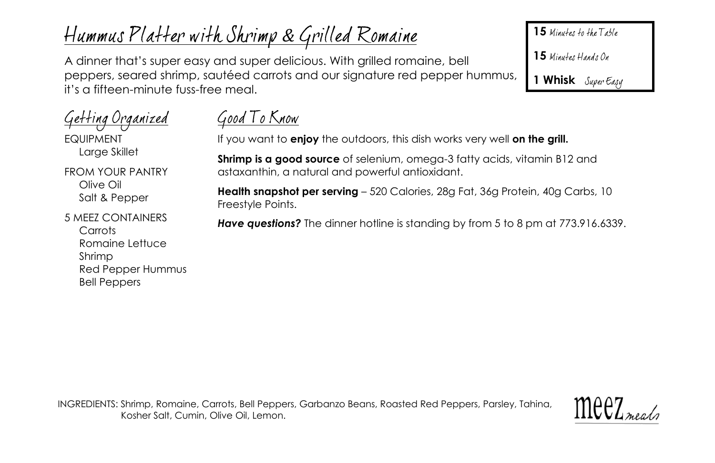# Hummus Platter with Shrimp & Grilled Romaine

A dinner that's super easy and super delicious. With grilled romaine, bell peppers, seared shrimp, sautéed carrots and our signature red pepper hummus, it's a fifteen-minute fuss-free meal.

15 Minutes to the Table

15 Minutes Hands On

**1 Whisk**

| <u>Getting Organized</u><br><b>FQUIPMENT</b><br>Large Skillet                                  |
|------------------------------------------------------------------------------------------------|
| FROM YOUR PANTRY<br>Olive Oil<br>Salt & Pepper                                                 |
| 5 MFF7 CONTAINERS<br>Carrots<br>Romaine Lettuce<br>Shrimp<br>Red Pepper Hummus<br>Bell Penners |

# Good To Know

If you want to **enjoy** the outdoors, this dish works very well **on the grill.**

**Shrimp is a good source** of selenium, omega-3 fatty acids, vitamin B12 and astaxanthin, a natural and powerful antioxidant.

**Health snapshot per serving** – 520 Calories, 28g Fat, 36g Protein, 40g Carbs, 10 Freestyle Points.

**Have questions?** The dinner hotline is standing by from 5 to 8 pm at 773.916.6339.

INGREDIENTS: Shrimp, Romaine, Carrots, Bell Peppers, Garbanzo Beans, Roasted Red Peppers, Parsley, Tahina, Kosher Salt, Cumin, Olive Oil, Lemon.